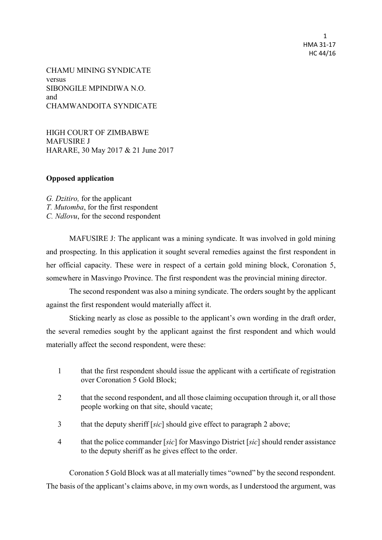1 HMA 31-17 HC 44/16

CHAMU MINING SYNDICATE versus SIBONGILE MPINDIWA N.O. and CHAMWANDOITA SYNDICATE

HIGH COURT OF ZIMBABWE MAFUSIRE J HARARE, 30 May 2017 & 21 June 2017

## **Opposed application**

*G. Dzitiro,* for the applicant *T. Mutomba*, for the first respondent *C. Ndlovu*, for the second respondent

MAFUSIRE J: The applicant was a mining syndicate. It was involved in gold mining and prospecting. In this application it sought several remedies against the first respondent in her official capacity. These were in respect of a certain gold mining block, Coronation 5, somewhere in Masvingo Province. The first respondent was the provincial mining director.

The second respondent was also a mining syndicate. The orders sought by the applicant against the first respondent would materially affect it.

Sticking nearly as close as possible to the applicant's own wording in the draft order, the several remedies sought by the applicant against the first respondent and which would materially affect the second respondent, were these:

- 1 that the first respondent should issue the applicant with a certificate of registration over Coronation 5 Gold Block;
- 2 that the second respondent, and all those claiming occupation through it, or all those people working on that site, should vacate;
- 3 that the deputy sheriff [*sic*] should give effect to paragraph 2 above;
- 4 that the police commander [*sic*] for Masvingo District [*sic*] should render assistance to the deputy sheriff as he gives effect to the order.

Coronation 5 Gold Block was at all materially times "owned" by the second respondent. The basis of the applicant's claims above, in my own words, as I understood the argument, was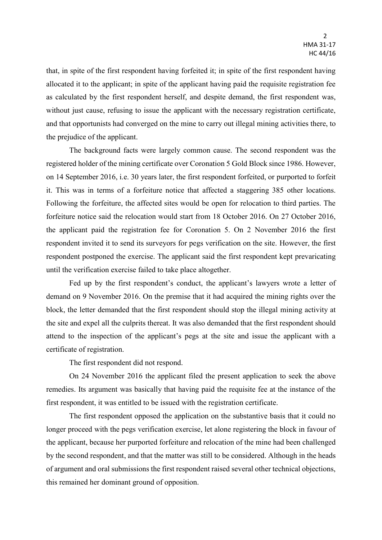that, in spite of the first respondent having forfeited it; in spite of the first respondent having allocated it to the applicant; in spite of the applicant having paid the requisite registration fee as calculated by the first respondent herself, and despite demand, the first respondent was, without just cause, refusing to issue the applicant with the necessary registration certificate, and that opportunists had converged on the mine to carry out illegal mining activities there, to the prejudice of the applicant.

The background facts were largely common cause. The second respondent was the registered holder of the mining certificate over Coronation 5 Gold Block since 1986. However, on 14 September 2016, i.e. 30 years later, the first respondent forfeited, or purported to forfeit it. This was in terms of a forfeiture notice that affected a staggering 385 other locations. Following the forfeiture, the affected sites would be open for relocation to third parties. The forfeiture notice said the relocation would start from 18 October 2016. On 27 October 2016, the applicant paid the registration fee for Coronation 5. On 2 November 2016 the first respondent invited it to send its surveyors for pegs verification on the site. However, the first respondent postponed the exercise. The applicant said the first respondent kept prevaricating until the verification exercise failed to take place altogether.

Fed up by the first respondent's conduct, the applicant's lawyers wrote a letter of demand on 9 November 2016. On the premise that it had acquired the mining rights over the block, the letter demanded that the first respondent should stop the illegal mining activity at the site and expel all the culprits thereat. It was also demanded that the first respondent should attend to the inspection of the applicant's pegs at the site and issue the applicant with a certificate of registration.

The first respondent did not respond.

On 24 November 2016 the applicant filed the present application to seek the above remedies. Its argument was basically that having paid the requisite fee at the instance of the first respondent, it was entitled to be issued with the registration certificate.

The first respondent opposed the application on the substantive basis that it could no longer proceed with the pegs verification exercise, let alone registering the block in favour of the applicant, because her purported forfeiture and relocation of the mine had been challenged by the second respondent, and that the matter was still to be considered. Although in the heads of argument and oral submissions the first respondent raised several other technical objections, this remained her dominant ground of opposition.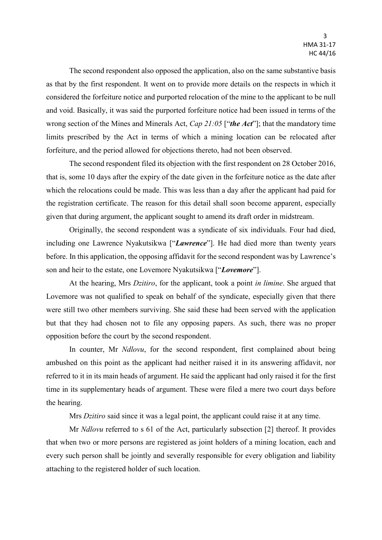The second respondent also opposed the application, also on the same substantive basis as that by the first respondent. It went on to provide more details on the respects in which it considered the forfeiture notice and purported relocation of the mine to the applicant to be null and void. Basically, it was said the purported forfeiture notice had been issued in terms of the wrong section of the Mines and Minerals Act, *Cap 21:05* ["*the Act*"]; that the mandatory time limits prescribed by the Act in terms of which a mining location can be relocated after forfeiture, and the period allowed for objections thereto, had not been observed.

The second respondent filed its objection with the first respondent on 28 October 2016, that is, some 10 days after the expiry of the date given in the forfeiture notice as the date after which the relocations could be made. This was less than a day after the applicant had paid for the registration certificate. The reason for this detail shall soon become apparent, especially given that during argument, the applicant sought to amend its draft order in midstream.

Originally, the second respondent was a syndicate of six individuals. Four had died, including one Lawrence Nyakutsikwa ["*Lawrence*"]. He had died more than twenty years before. In this application, the opposing affidavit for the second respondent was by Lawrence's son and heir to the estate, one Lovemore Nyakutsikwa ["*Lovemore*"].

At the hearing, Mrs *Dzitiro*, for the applicant, took a point *in limine*. She argued that Lovemore was not qualified to speak on behalf of the syndicate, especially given that there were still two other members surviving. She said these had been served with the application but that they had chosen not to file any opposing papers. As such, there was no proper opposition before the court by the second respondent.

In counter, Mr *Ndlovu*, for the second respondent, first complained about being ambushed on this point as the applicant had neither raised it in its answering affidavit, nor referred to it in its main heads of argument. He said the applicant had only raised it for the first time in its supplementary heads of argument. These were filed a mere two court days before the hearing.

Mrs *Dzitiro* said since it was a legal point, the applicant could raise it at any time.

Mr *Ndlovu* referred to s 61 of the Act, particularly subsection [2] thereof. It provides that when two or more persons are registered as joint holders of a mining location, each and every such person shall be jointly and severally responsible for every obligation and liability attaching to the registered holder of such location.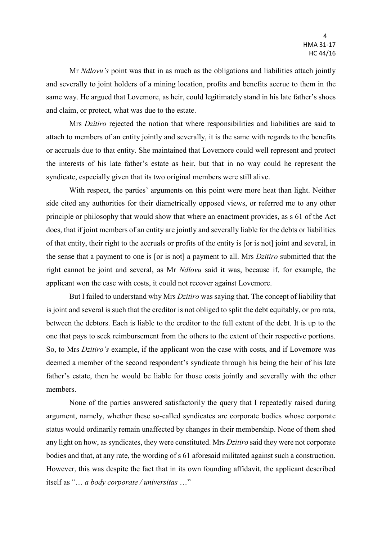Mr *Ndlovu's* point was that in as much as the obligations and liabilities attach jointly and severally to joint holders of a mining location, profits and benefits accrue to them in the same way. He argued that Lovemore, as heir, could legitimately stand in his late father's shoes and claim, or protect, what was due to the estate.

Mrs *Dzitiro* rejected the notion that where responsibilities and liabilities are said to attach to members of an entity jointly and severally, it is the same with regards to the benefits or accruals due to that entity. She maintained that Lovemore could well represent and protect the interests of his late father's estate as heir, but that in no way could he represent the syndicate, especially given that its two original members were still alive.

With respect, the parties' arguments on this point were more heat than light. Neither side cited any authorities for their diametrically opposed views, or referred me to any other principle or philosophy that would show that where an enactment provides, as s 61 of the Act does, that if joint members of an entity are jointly and severally liable for the debts or liabilities of that entity, their right to the accruals or profits of the entity is [or is not] joint and several, in the sense that a payment to one is [or is not] a payment to all. Mrs *Dzitiro* submitted that the right cannot be joint and several, as Mr *Ndlovu* said it was, because if, for example, the applicant won the case with costs, it could not recover against Lovemore.

But I failed to understand why Mrs *Dzitiro* was saying that. The concept of liability that is joint and several is such that the creditor is not obliged to split the debt equitably, or pro rata, between the debtors. Each is liable to the creditor to the full extent of the debt. It is up to the one that pays to seek reimbursement from the others to the extent of their respective portions. So, to Mrs *Dzitiro's* example, if the applicant won the case with costs, and if Lovemore was deemed a member of the second respondent's syndicate through his being the heir of his late father's estate, then he would be liable for those costs jointly and severally with the other members.

None of the parties answered satisfactorily the query that I repeatedly raised during argument, namely, whether these so-called syndicates are corporate bodies whose corporate status would ordinarily remain unaffected by changes in their membership. None of them shed any light on how, as syndicates, they were constituted. Mrs *Dzitiro* said they were not corporate bodies and that, at any rate, the wording of s 61 aforesaid militated against such a construction. However, this was despite the fact that in its own founding affidavit, the applicant described itself as "… *a body corporate / universitas* …"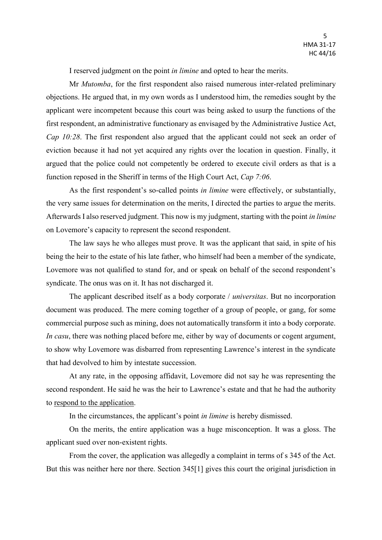I reserved judgment on the point *in limine* and opted to hear the merits.

Mr *Mutomba*, for the first respondent also raised numerous inter-related preliminary objections. He argued that, in my own words as I understood him, the remedies sought by the applicant were incompetent because this court was being asked to usurp the functions of the first respondent, an administrative functionary as envisaged by the Administrative Justice Act, *Cap 10:28*. The first respondent also argued that the applicant could not seek an order of eviction because it had not yet acquired any rights over the location in question. Finally, it argued that the police could not competently be ordered to execute civil orders as that is a function reposed in the Sheriff in terms of the High Court Act, *Cap 7:06*.

As the first respondent's so-called points *in limine* were effectively, or substantially, the very same issues for determination on the merits, I directed the parties to argue the merits. Afterwards I also reserved judgment. This now is my judgment, starting with the point *in limine* on Lovemore's capacity to represent the second respondent.

The law says he who alleges must prove. It was the applicant that said, in spite of his being the heir to the estate of his late father, who himself had been a member of the syndicate, Lovemore was not qualified to stand for, and or speak on behalf of the second respondent's syndicate. The onus was on it. It has not discharged it.

The applicant described itself as a body corporate / *universitas*. But no incorporation document was produced. The mere coming together of a group of people, or gang, for some commercial purpose such as mining, does not automatically transform it into a body corporate. *In casu*, there was nothing placed before me, either by way of documents or cogent argument, to show why Lovemore was disbarred from representing Lawrence's interest in the syndicate that had devolved to him by intestate succession.

At any rate, in the opposing affidavit, Lovemore did not say he was representing the second respondent. He said he was the heir to Lawrence's estate and that he had the authority to respond to the application.

In the circumstances, the applicant's point *in limine* is hereby dismissed.

On the merits, the entire application was a huge misconception. It was a gloss. The applicant sued over non-existent rights.

From the cover, the application was allegedly a complaint in terms of s 345 of the Act. But this was neither here nor there. Section 345[1] gives this court the original jurisdiction in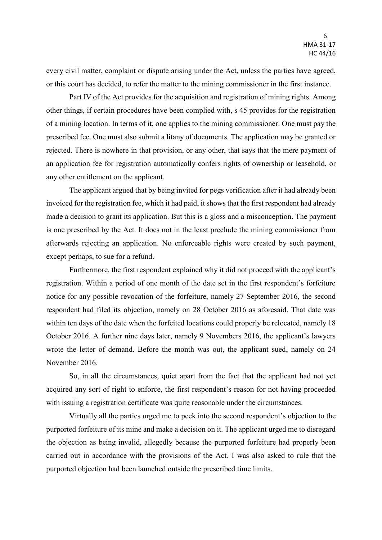every civil matter, complaint or dispute arising under the Act, unless the parties have agreed, or this court has decided, to refer the matter to the mining commissioner in the first instance.

Part IV of the Act provides for the acquisition and registration of mining rights. Among other things, if certain procedures have been complied with, s 45 provides for the registration of a mining location. In terms of it, one applies to the mining commissioner. One must pay the prescribed fee. One must also submit a litany of documents. The application may be granted or rejected. There is nowhere in that provision, or any other, that says that the mere payment of an application fee for registration automatically confers rights of ownership or leasehold, or any other entitlement on the applicant.

The applicant argued that by being invited for pegs verification after it had already been invoiced for the registration fee, which it had paid, it shows that the first respondent had already made a decision to grant its application. But this is a gloss and a misconception. The payment is one prescribed by the Act. It does not in the least preclude the mining commissioner from afterwards rejecting an application. No enforceable rights were created by such payment, except perhaps, to sue for a refund.

Furthermore, the first respondent explained why it did not proceed with the applicant's registration. Within a period of one month of the date set in the first respondent's forfeiture notice for any possible revocation of the forfeiture, namely 27 September 2016, the second respondent had filed its objection, namely on 28 October 2016 as aforesaid. That date was within ten days of the date when the forfeited locations could properly be relocated, namely 18 October 2016. A further nine days later, namely 9 Novembers 2016, the applicant's lawyers wrote the letter of demand. Before the month was out, the applicant sued, namely on 24 November 2016.

So, in all the circumstances, quiet apart from the fact that the applicant had not yet acquired any sort of right to enforce, the first respondent's reason for not having proceeded with issuing a registration certificate was quite reasonable under the circumstances.

Virtually all the parties urged me to peek into the second respondent's objection to the purported forfeiture of its mine and make a decision on it. The applicant urged me to disregard the objection as being invalid, allegedly because the purported forfeiture had properly been carried out in accordance with the provisions of the Act. I was also asked to rule that the purported objection had been launched outside the prescribed time limits.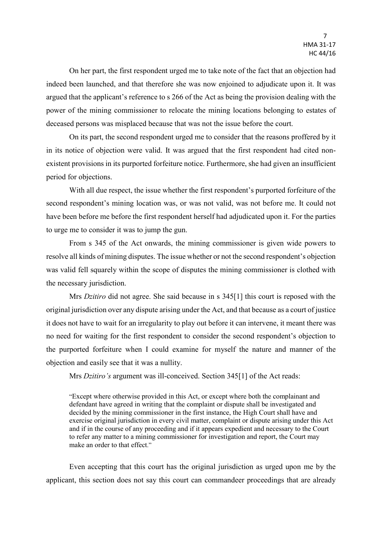On her part, the first respondent urged me to take note of the fact that an objection had indeed been launched, and that therefore she was now enjoined to adjudicate upon it. It was argued that the applicant's reference to s 266 of the Act as being the provision dealing with the power of the mining commissioner to relocate the mining locations belonging to estates of deceased persons was misplaced because that was not the issue before the court.

On its part, the second respondent urged me to consider that the reasons proffered by it in its notice of objection were valid. It was argued that the first respondent had cited nonexistent provisions in its purported forfeiture notice. Furthermore, she had given an insufficient period for objections.

With all due respect, the issue whether the first respondent's purported forfeiture of the second respondent's mining location was, or was not valid, was not before me. It could not have been before me before the first respondent herself had adjudicated upon it. For the parties to urge me to consider it was to jump the gun.

From s 345 of the Act onwards, the mining commissioner is given wide powers to resolve all kinds of mining disputes. The issue whether or not the second respondent's objection was valid fell squarely within the scope of disputes the mining commissioner is clothed with the necessary jurisdiction.

Mrs *Dzitiro* did not agree. She said because in s 345[1] this court is reposed with the original jurisdiction over any dispute arising under the Act, and that because as a court of justice it does not have to wait for an irregularity to play out before it can intervene, it meant there was no need for waiting for the first respondent to consider the second respondent's objection to the purported forfeiture when I could examine for myself the nature and manner of the objection and easily see that it was a nullity.

Mrs *Dzitiro's* argument was ill-conceived. Section 345[1] of the Act reads:

"Except where otherwise provided in this Act, or except where both the complainant and defendant have agreed in writing that the complaint or dispute shall be investigated and decided by the mining commissioner in the first instance, the High Court shall have and exercise original jurisdiction in every civil matter, complaint or dispute arising under this Act and if in the course of any proceeding and if it appears expedient and necessary to the Court to refer any matter to a mining commissioner for investigation and report, the Court may make an order to that effect."

Even accepting that this court has the original jurisdiction as urged upon me by the applicant, this section does not say this court can commandeer proceedings that are already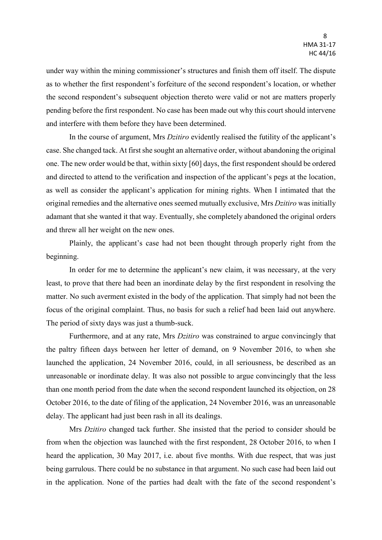under way within the mining commissioner's structures and finish them off itself. The dispute as to whether the first respondent's forfeiture of the second respondent's location, or whether the second respondent's subsequent objection thereto were valid or not are matters properly pending before the first respondent. No case has been made out why this court should intervene and interfere with them before they have been determined.

In the course of argument, Mrs *Dzitiro* evidently realised the futility of the applicant's case. She changed tack. At first she sought an alternative order, without abandoning the original one. The new order would be that, within sixty [60] days, the first respondent should be ordered and directed to attend to the verification and inspection of the applicant's pegs at the location, as well as consider the applicant's application for mining rights. When I intimated that the original remedies and the alternative ones seemed mutually exclusive, Mrs *Dzitiro* was initially adamant that she wanted it that way. Eventually, she completely abandoned the original orders and threw all her weight on the new ones.

Plainly, the applicant's case had not been thought through properly right from the beginning.

In order for me to determine the applicant's new claim, it was necessary, at the very least, to prove that there had been an inordinate delay by the first respondent in resolving the matter. No such averment existed in the body of the application. That simply had not been the focus of the original complaint. Thus, no basis for such a relief had been laid out anywhere. The period of sixty days was just a thumb-suck.

Furthermore, and at any rate, Mrs *Dzitiro* was constrained to argue convincingly that the paltry fifteen days between her letter of demand, on 9 November 2016, to when she launched the application, 24 November 2016, could, in all seriousness, be described as an unreasonable or inordinate delay. It was also not possible to argue convincingly that the less than one month period from the date when the second respondent launched its objection, on 28 October 2016, to the date of filing of the application, 24 November 2016, was an unreasonable delay. The applicant had just been rash in all its dealings.

Mrs *Dzitiro* changed tack further. She insisted that the period to consider should be from when the objection was launched with the first respondent, 28 October 2016, to when I heard the application, 30 May 2017, i.e. about five months. With due respect, that was just being garrulous. There could be no substance in that argument. No such case had been laid out in the application. None of the parties had dealt with the fate of the second respondent's